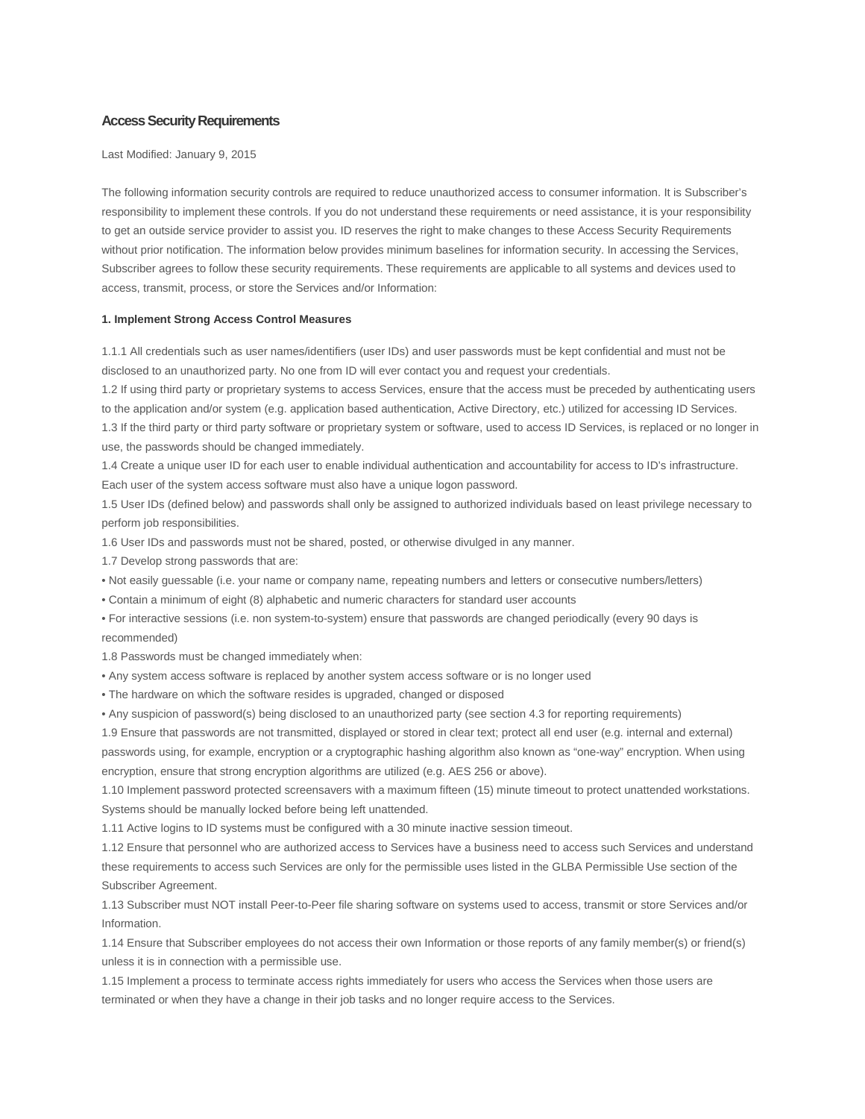# **Access Security Requirements**

Last Modified: January 9, 2015

The following information security controls are required to reduce unauthorized access to consumer information. It is Subscriber's responsibility to implement these controls. If you do not understand these requirements or need assistance, it is your responsibility to get an outside service provider to assist you. ID reserves the right to make changes to these Access Security Requirements without prior notification. The information below provides minimum baselines for information security. In accessing the Services, Subscriber agrees to follow these security requirements. These requirements are applicable to all systems and devices used to access, transmit, process, or store the Services and/or Information:

# **1. Implement Strong Access Control Measures**

1.1.1 All credentials such as user names/identifiers (user IDs) and user passwords must be kept confidential and must not be disclosed to an unauthorized party. No one from ID will ever contact you and request your credentials.

1.2 If using third party or proprietary systems to access Services, ensure that the access must be preceded by authenticating users to the application and/or system (e.g. application based authentication, Active Directory, etc.) utilized for accessing ID Services. 1.3 If the third party or third party software or proprietary system or software, used to access ID Services, is replaced or no longer in use, the passwords should be changed immediately.

1.4 Create a unique user ID for each user to enable individual authentication and accountability for access to ID's infrastructure. Each user of the system access software must also have a unique logon password.

1.5 User IDs (defined below) and passwords shall only be assigned to authorized individuals based on least privilege necessary to perform job responsibilities.

1.6 User IDs and passwords must not be shared, posted, or otherwise divulged in any manner.

1.7 Develop strong passwords that are:

• Not easily guessable (i.e. your name or company name, repeating numbers and letters or consecutive numbers/letters)

• Contain a minimum of eight (8) alphabetic and numeric characters for standard user accounts

• For interactive sessions (i.e. non system-to-system) ensure that passwords are changed periodically (every 90 days is recommended)

1.8 Passwords must be changed immediately when:

• Any system access software is replaced by another system access software or is no longer used

• The hardware on which the software resides is upgraded, changed or disposed

• Any suspicion of password(s) being disclosed to an unauthorized party (see section 4.3 for reporting requirements)

1.9 Ensure that passwords are not transmitted, displayed or stored in clear text; protect all end user (e.g. internal and external)

passwords using, for example, encryption or a cryptographic hashing algorithm also known as "one-way" encryption. When using encryption, ensure that strong encryption algorithms are utilized (e.g. AES 256 or above).

1.10 Implement password protected screensavers with a maximum fifteen (15) minute timeout to protect unattended workstations. Systems should be manually locked before being left unattended.

1.11 Active logins to ID systems must be configured with a 30 minute inactive session timeout.

1.12 Ensure that personnel who are authorized access to Services have a business need to access such Services and understand these requirements to access such Services are only for the permissible uses listed in the GLBA Permissible Use section of the Subscriber Agreement.

1.13 Subscriber must NOT install Peer-to-Peer file sharing software on systems used to access, transmit or store Services and/or Information.

1.14 Ensure that Subscriber employees do not access their own Information or those reports of any family member(s) or friend(s) unless it is in connection with a permissible use.

1.15 Implement a process to terminate access rights immediately for users who access the Services when those users are terminated or when they have a change in their job tasks and no longer require access to the Services.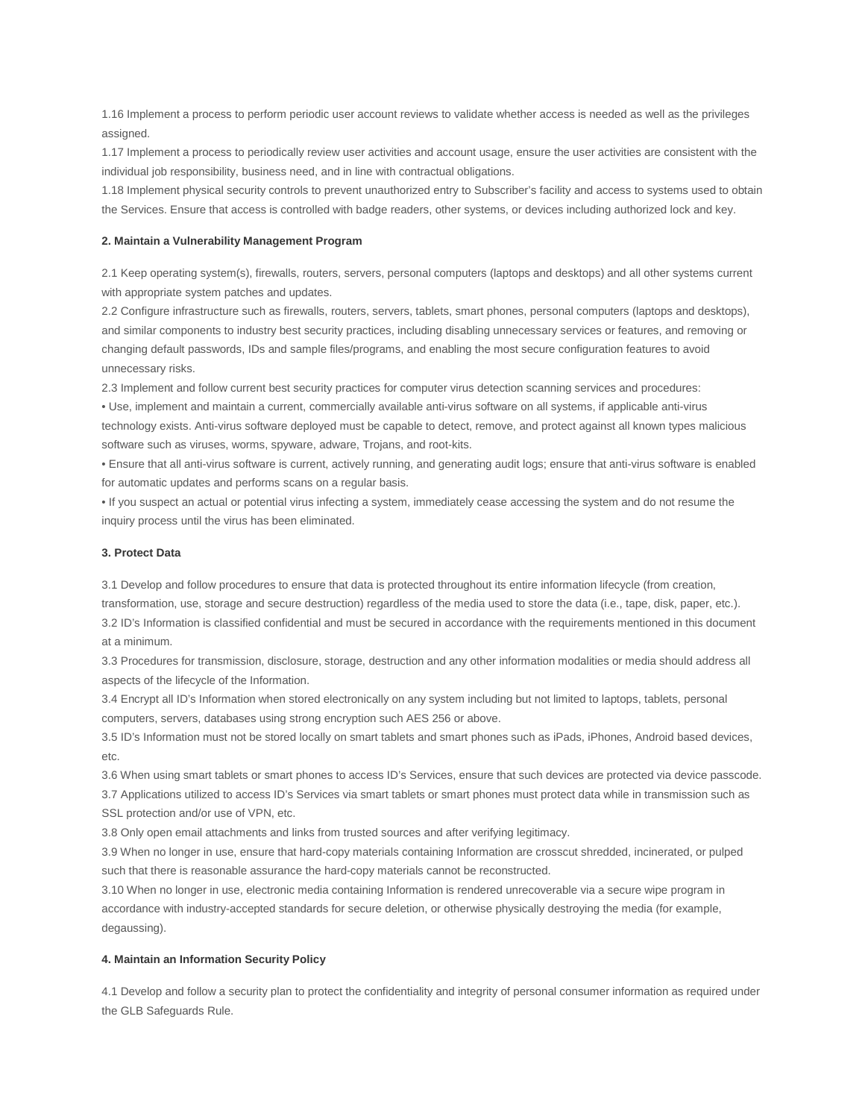1.16 Implement a process to perform periodic user account reviews to validate whether access is needed as well as the privileges assigned.

1.17 Implement a process to periodically review user activities and account usage, ensure the user activities are consistent with the individual job responsibility, business need, and in line with contractual obligations.

1.18 Implement physical security controls to prevent unauthorized entry to Subscriber's facility and access to systems used to obtain the Services. Ensure that access is controlled with badge readers, other systems, or devices including authorized lock and key.

# **2. Maintain a Vulnerability Management Program**

2.1 Keep operating system(s), firewalls, routers, servers, personal computers (laptops and desktops) and all other systems current with appropriate system patches and updates.

2.2 Configure infrastructure such as firewalls, routers, servers, tablets, smart phones, personal computers (laptops and desktops), and similar components to industry best security practices, including disabling unnecessary services or features, and removing or changing default passwords, IDs and sample files/programs, and enabling the most secure configuration features to avoid unnecessary risks.

2.3 Implement and follow current best security practices for computer virus detection scanning services and procedures:

• Use, implement and maintain a current, commercially available anti-virus software on all systems, if applicable anti-virus technology exists. Anti-virus software deployed must be capable to detect, remove, and protect against all known types malicious software such as viruses, worms, spyware, adware, Trojans, and root-kits.

• Ensure that all anti-virus software is current, actively running, and generating audit logs; ensure that anti-virus software is enabled for automatic updates and performs scans on a regular basis.

• If you suspect an actual or potential virus infecting a system, immediately cease accessing the system and do not resume the inquiry process until the virus has been eliminated.

# **3. Protect Data**

3.1 Develop and follow procedures to ensure that data is protected throughout its entire information lifecycle (from creation, transformation, use, storage and secure destruction) regardless of the media used to store the data (i.e., tape, disk, paper, etc.). 3.2 ID's Information is classified confidential and must be secured in accordance with the requirements mentioned in this document at a minimum.

3.3 Procedures for transmission, disclosure, storage, destruction and any other information modalities or media should address all aspects of the lifecycle of the Information.

3.4 Encrypt all ID's Information when stored electronically on any system including but not limited to laptops, tablets, personal computers, servers, databases using strong encryption such AES 256 or above.

3.5 ID's Information must not be stored locally on smart tablets and smart phones such as iPads, iPhones, Android based devices, etc.

3.6 When using smart tablets or smart phones to access ID's Services, ensure that such devices are protected via device passcode. 3.7 Applications utilized to access ID's Services via smart tablets or smart phones must protect data while in transmission such as SSL protection and/or use of VPN, etc.

3.8 Only open email attachments and links from trusted sources and after verifying legitimacy.

3.9 When no longer in use, ensure that hard-copy materials containing Information are crosscut shredded, incinerated, or pulped such that there is reasonable assurance the hard-copy materials cannot be reconstructed.

3.10 When no longer in use, electronic media containing Information is rendered unrecoverable via a secure wipe program in accordance with industry-accepted standards for secure deletion, or otherwise physically destroying the media (for example, degaussing).

# **4. Maintain an Information Security Policy**

4.1 Develop and follow a security plan to protect the confidentiality and integrity of personal consumer information as required under the GLB Safeguards Rule.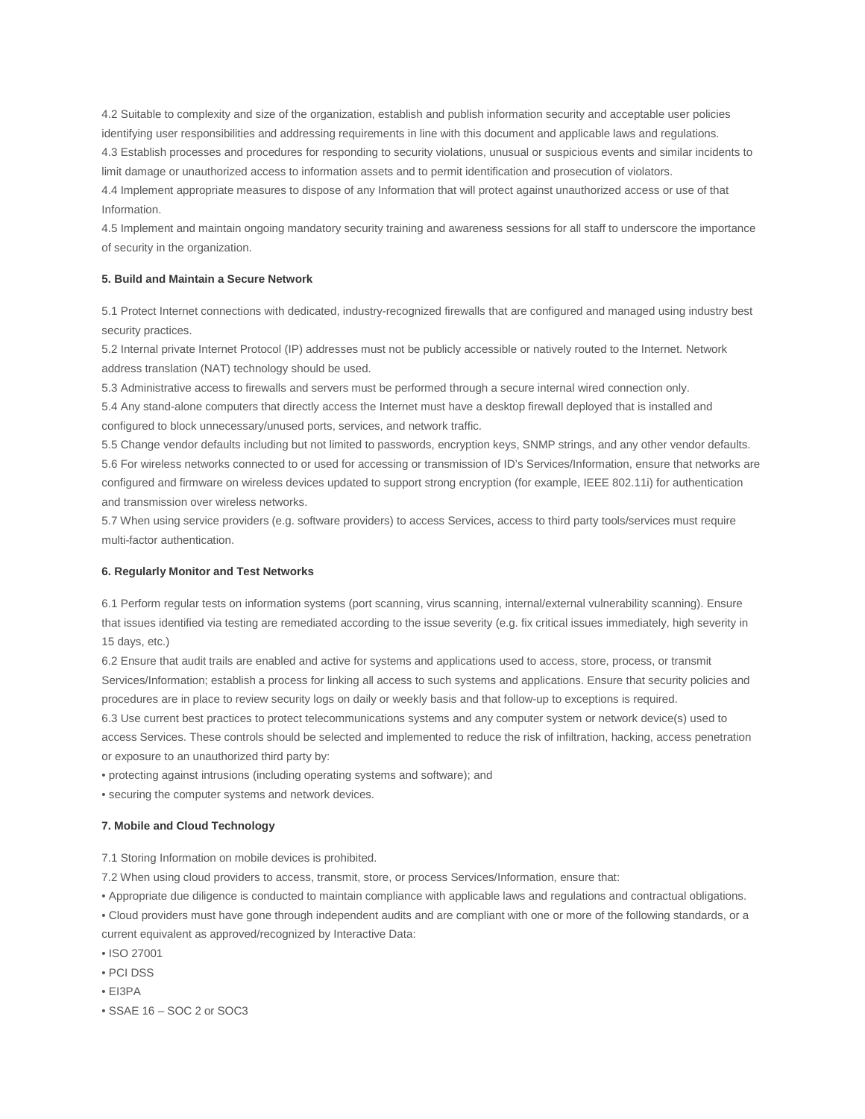4.2 Suitable to complexity and size of the organization, establish and publish information security and acceptable user policies identifying user responsibilities and addressing requirements in line with this document and applicable laws and regulations. 4.3 Establish processes and procedures for responding to security violations, unusual or suspicious events and similar incidents to limit damage or unauthorized access to information assets and to permit identification and prosecution of violators.

4.4 Implement appropriate measures to dispose of any Information that will protect against unauthorized access or use of that Information.

4.5 Implement and maintain ongoing mandatory security training and awareness sessions for all staff to underscore the importance of security in the organization.

# **5. Build and Maintain a Secure Network**

5.1 Protect Internet connections with dedicated, industry-recognized firewalls that are configured and managed using industry best security practices.

5.2 Internal private Internet Protocol (IP) addresses must not be publicly accessible or natively routed to the Internet. Network address translation (NAT) technology should be used.

5.3 Administrative access to firewalls and servers must be performed through a secure internal wired connection only.

5.4 Any stand-alone computers that directly access the Internet must have a desktop firewall deployed that is installed and configured to block unnecessary/unused ports, services, and network traffic.

5.5 Change vendor defaults including but not limited to passwords, encryption keys, SNMP strings, and any other vendor defaults. 5.6 For wireless networks connected to or used for accessing or transmission of ID's Services/Information, ensure that networks are configured and firmware on wireless devices updated to support strong encryption (for example, IEEE 802.11i) for authentication and transmission over wireless networks.

5.7 When using service providers (e.g. software providers) to access Services, access to third party tools/services must require multi-factor authentication.

# **6. Regularly Monitor and Test Networks**

6.1 Perform regular tests on information systems (port scanning, virus scanning, internal/external vulnerability scanning). Ensure that issues identified via testing are remediated according to the issue severity (e.g. fix critical issues immediately, high severity in 15 days, etc.)

6.2 Ensure that audit trails are enabled and active for systems and applications used to access, store, process, or transmit Services/Information; establish a process for linking all access to such systems and applications. Ensure that security policies and procedures are in place to review security logs on daily or weekly basis and that follow-up to exceptions is required.

6.3 Use current best practices to protect telecommunications systems and any computer system or network device(s) used to access Services. These controls should be selected and implemented to reduce the risk of infiltration, hacking, access penetration or exposure to an unauthorized third party by:

• protecting against intrusions (including operating systems and software); and

• securing the computer systems and network devices.

# **7. Mobile and Cloud Technology**

7.1 Storing Information on mobile devices is prohibited.

7.2 When using cloud providers to access, transmit, store, or process Services/Information, ensure that:

• Appropriate due diligence is conducted to maintain compliance with applicable laws and regulations and contractual obligations.

• Cloud providers must have gone through independent audits and are compliant with one or more of the following standards, or a current equivalent as approved/recognized by Interactive Data:

- ISO 27001
- PCI DSS
- EI3PA
- SSAE 16 SOC 2 or SOC3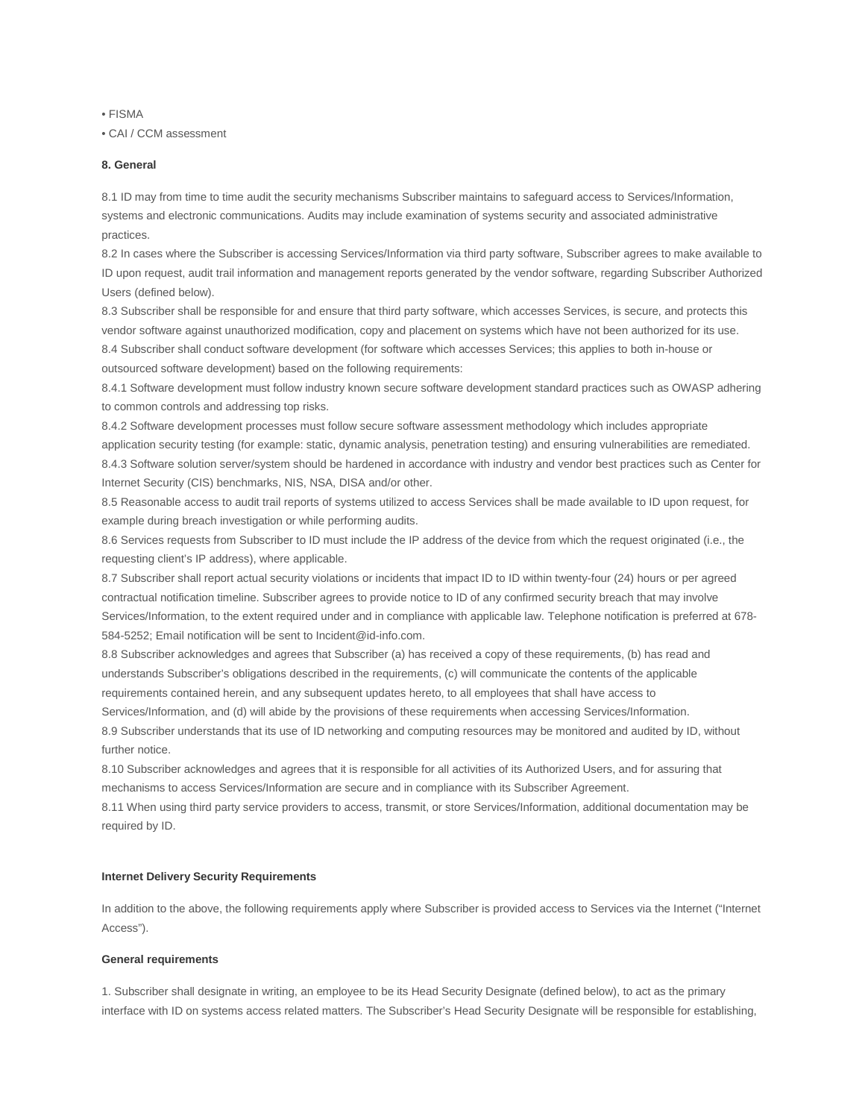• FISMA

• CAI / CCM assessment

# **8. General**

8.1 ID may from time to time audit the security mechanisms Subscriber maintains to safeguard access to Services/Information, systems and electronic communications. Audits may include examination of systems security and associated administrative practices.

8.2 In cases where the Subscriber is accessing Services/Information via third party software, Subscriber agrees to make available to ID upon request, audit trail information and management reports generated by the vendor software, regarding Subscriber Authorized Users (defined below).

8.3 Subscriber shall be responsible for and ensure that third party software, which accesses Services, is secure, and protects this vendor software against unauthorized modification, copy and placement on systems which have not been authorized for its use. 8.4 Subscriber shall conduct software development (for software which accesses Services; this applies to both in-house or outsourced software development) based on the following requirements:

8.4.1 Software development must follow industry known secure software development standard practices such as OWASP adhering to common controls and addressing top risks.

8.4.2 Software development processes must follow secure software assessment methodology which includes appropriate application security testing (for example: static, dynamic analysis, penetration testing) and ensuring vulnerabilities are remediated. 8.4.3 Software solution server/system should be hardened in accordance with industry and vendor best practices such as Center for Internet Security (CIS) benchmarks, NIS, NSA, DISA and/or other.

8.5 Reasonable access to audit trail reports of systems utilized to access Services shall be made available to ID upon request, for example during breach investigation or while performing audits.

8.6 Services requests from Subscriber to ID must include the IP address of the device from which the request originated (i.e., the requesting client's IP address), where applicable.

8.7 Subscriber shall report actual security violations or incidents that impact ID to ID within twenty-four (24) hours or per agreed contractual notification timeline. Subscriber agrees to provide notice to ID of any confirmed security breach that may involve Services/Information, to the extent required under and in compliance with applicable law. Telephone notification is preferred at 678- 584-5252; Email notification will be sent to Incident@id-info.com.

8.8 Subscriber acknowledges and agrees that Subscriber (a) has received a copy of these requirements, (b) has read and understands Subscriber's obligations described in the requirements, (c) will communicate the contents of the applicable requirements contained herein, and any subsequent updates hereto, to all employees that shall have access to Services/Information, and (d) will abide by the provisions of these requirements when accessing Services/Information.

8.9 Subscriber understands that its use of ID networking and computing resources may be monitored and audited by ID, without further notice.

8.10 Subscriber acknowledges and agrees that it is responsible for all activities of its Authorized Users, and for assuring that mechanisms to access Services/Information are secure and in compliance with its Subscriber Agreement.

8.11 When using third party service providers to access, transmit, or store Services/Information, additional documentation may be required by ID.

# **Internet Delivery Security Requirements**

In addition to the above, the following requirements apply where Subscriber is provided access to Services via the Internet ("Internet Access").

#### **General requirements**

1. Subscriber shall designate in writing, an employee to be its Head Security Designate (defined below), to act as the primary interface with ID on systems access related matters. The Subscriber's Head Security Designate will be responsible for establishing,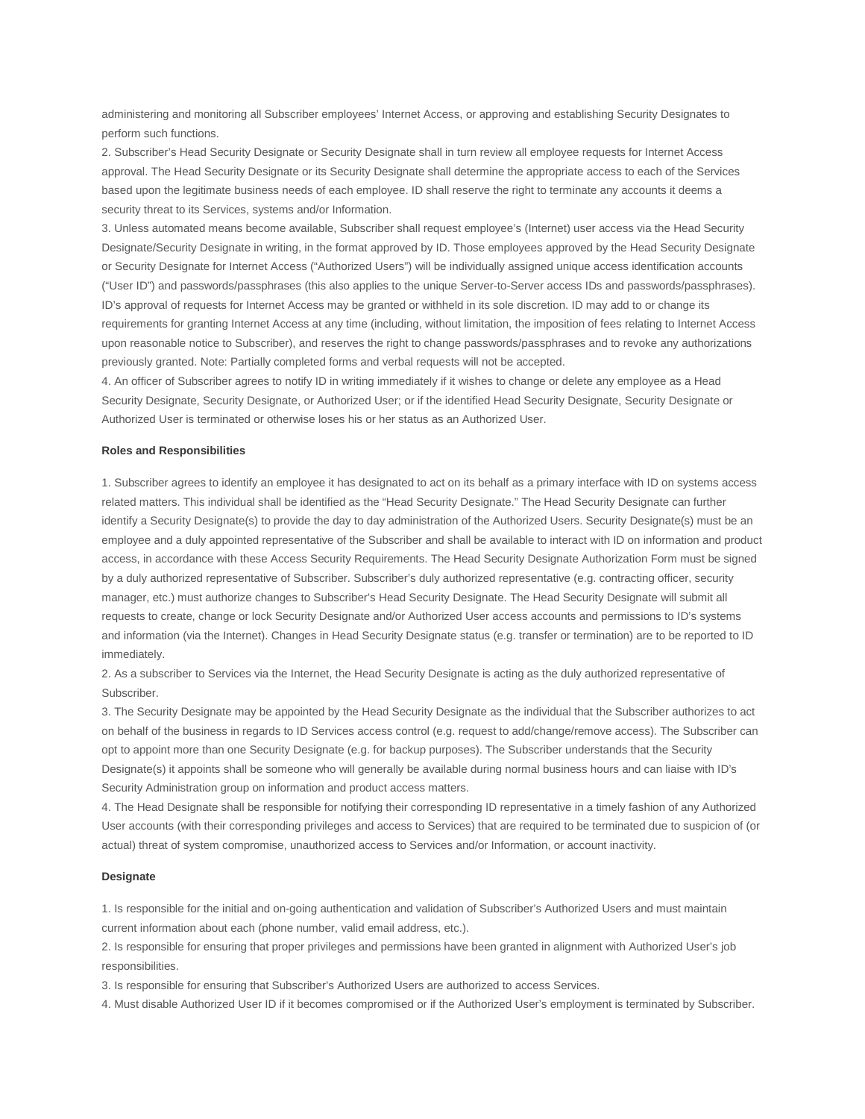administering and monitoring all Subscriber employees' Internet Access, or approving and establishing Security Designates to perform such functions.

2. Subscriber's Head Security Designate or Security Designate shall in turn review all employee requests for Internet Access approval. The Head Security Designate or its Security Designate shall determine the appropriate access to each of the Services based upon the legitimate business needs of each employee. ID shall reserve the right to terminate any accounts it deems a security threat to its Services, systems and/or Information.

3. Unless automated means become available, Subscriber shall request employee's (Internet) user access via the Head Security Designate/Security Designate in writing, in the format approved by ID. Those employees approved by the Head Security Designate or Security Designate for Internet Access ("Authorized Users") will be individually assigned unique access identification accounts ("User ID") and passwords/passphrases (this also applies to the unique Server-to-Server access IDs and passwords/passphrases). ID's approval of requests for Internet Access may be granted or withheld in its sole discretion. ID may add to or change its requirements for granting Internet Access at any time (including, without limitation, the imposition of fees relating to Internet Access upon reasonable notice to Subscriber), and reserves the right to change passwords/passphrases and to revoke any authorizations previously granted. Note: Partially completed forms and verbal requests will not be accepted.

4. An officer of Subscriber agrees to notify ID in writing immediately if it wishes to change or delete any employee as a Head Security Designate, Security Designate, or Authorized User; or if the identified Head Security Designate, Security Designate or Authorized User is terminated or otherwise loses his or her status as an Authorized User.

### **Roles and Responsibilities**

1. Subscriber agrees to identify an employee it has designated to act on its behalf as a primary interface with ID on systems access related matters. This individual shall be identified as the "Head Security Designate." The Head Security Designate can further identify a Security Designate(s) to provide the day to day administration of the Authorized Users. Security Designate(s) must be an employee and a duly appointed representative of the Subscriber and shall be available to interact with ID on information and product access, in accordance with these Access Security Requirements. The Head Security Designate Authorization Form must be signed by a duly authorized representative of Subscriber. Subscriber's duly authorized representative (e.g. contracting officer, security manager, etc.) must authorize changes to Subscriber's Head Security Designate. The Head Security Designate will submit all requests to create, change or lock Security Designate and/or Authorized User access accounts and permissions to ID's systems and information (via the Internet). Changes in Head Security Designate status (e.g. transfer or termination) are to be reported to ID immediately.

2. As a subscriber to Services via the Internet, the Head Security Designate is acting as the duly authorized representative of Subscriber.

3. The Security Designate may be appointed by the Head Security Designate as the individual that the Subscriber authorizes to act on behalf of the business in regards to ID Services access control (e.g. request to add/change/remove access). The Subscriber can opt to appoint more than one Security Designate (e.g. for backup purposes). The Subscriber understands that the Security Designate(s) it appoints shall be someone who will generally be available during normal business hours and can liaise with ID's Security Administration group on information and product access matters.

4. The Head Designate shall be responsible for notifying their corresponding ID representative in a timely fashion of any Authorized User accounts (with their corresponding privileges and access to Services) that are required to be terminated due to suspicion of (or actual) threat of system compromise, unauthorized access to Services and/or Information, or account inactivity.

# **Designate**

1. Is responsible for the initial and on-going authentication and validation of Subscriber's Authorized Users and must maintain current information about each (phone number, valid email address, etc.).

2. Is responsible for ensuring that proper privileges and permissions have been granted in alignment with Authorized User's job responsibilities.

3. Is responsible for ensuring that Subscriber's Authorized Users are authorized to access Services.

4. Must disable Authorized User ID if it becomes compromised or if the Authorized User's employment is terminated by Subscriber.